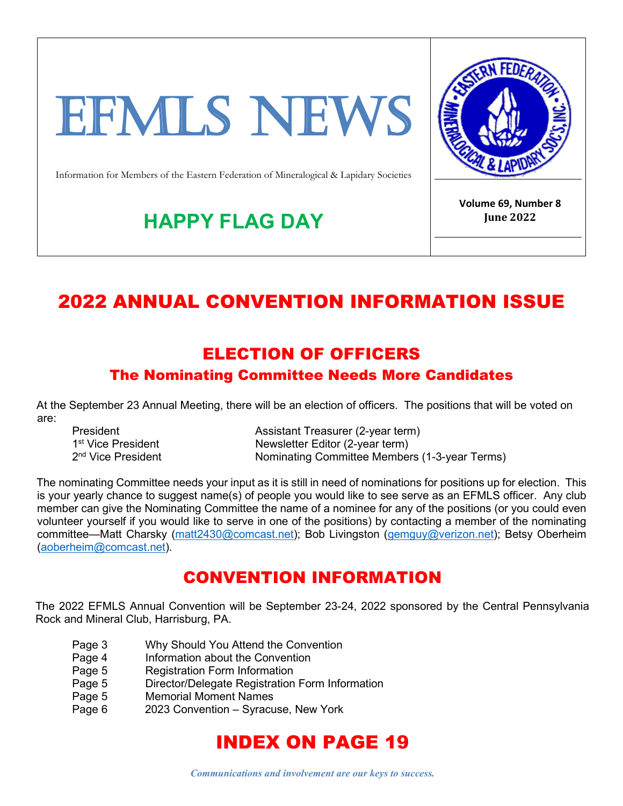# EFMLS NEWS



Information for Members of the Eastern Federation of Mineralogical & Lapidary Societies

**HAPPY FLAG DAY**

**Volume 69, Number 8 June 2022**

# 2022 ANNUAL CONVENTION INFORMATION ISSUE

#### ELECTION OF OFFICERS

#### The Nominating Committee Needs More Candidates

At the September 23 Annual Meeting, there will be an election of officers. The positions that will be voted on are:

President **Assistant Treasurer (2-year term)** 1<sup>st</sup> Vice President **Newsletter Editor (2-year term)**<br>
2<sup>nd</sup> Vice President **Nominating Committee Member** Nominating Committee Members (1-3-year Terms)

The nominating Committee needs your input as it is still in need of nominations for positions up for election. This is your yearly chance to suggest name(s) of people you would like to see serve as an EFMLS officer. Any club member can give the Nominating Committee the name of a nominee for any of the positions (or you could even volunteer yourself if you would like to serve in one of the positions) by contacting a member of the nominating committee—Matt Charsky [\(matt2430@comcast.net\)](mailto:matt2430@comcast.net); Bob Livingston [\(gemguy@verizon.net\)](mailto:gemguy@verizon.net); Betsy Oberheim [\(aoberheim@comcast.net\)](mailto:aoberheim@comcast.net).

#### CONVENTION INFORMATION

The 2022 EFMLS Annual Convention will be September 23-24, 2022 sponsored by the Central Pennsylvania Rock and Mineral Club, Harrisburg, PA.

- Page 3 Why Should You Attend the Convention<br>Page 4 Information about the Convention
- Information about the Convention
- Page 5 Registration Form Information
- Page 5 Director/Delegate Registration Form Information
- Page 5 Memorial Moment Names
- Page 6 2023 Convention Syracuse, New York

# INDEX ON PAGE 19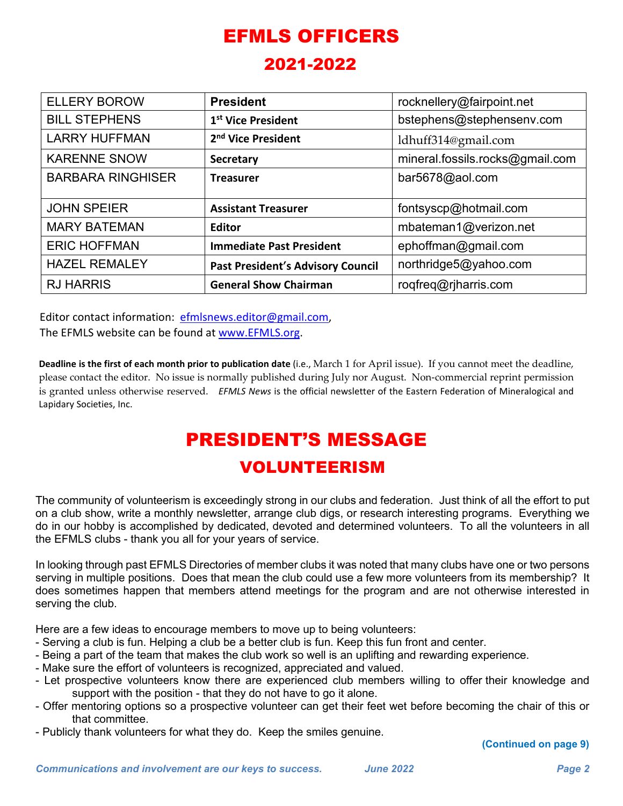# EFMLS OFFICERS

#### 2021-2022

| <b>ELLERY BOROW</b>      | <b>President</b>                         | rocknellery@fairpoint.net       |  |
|--------------------------|------------------------------------------|---------------------------------|--|
| <b>BILL STEPHENS</b>     | 1 <sup>st</sup> Vice President           | bstephens@stephensenv.com       |  |
| <b>LARRY HUFFMAN</b>     | 2 <sup>nd</sup> Vice President           | ldhuff314@gmail.com             |  |
| <b>KARENNE SNOW</b>      | <b>Secretary</b>                         | mineral.fossils.rocks@gmail.com |  |
| <b>BARBARA RINGHISER</b> | <b>Treasurer</b>                         | bar5678@aol.com                 |  |
|                          |                                          |                                 |  |
| <b>JOHN SPEIER</b>       | <b>Assistant Treasurer</b>               | fontsyscp@hotmail.com           |  |
| <b>MARY BATEMAN</b>      | <b>Editor</b>                            | mbateman1@verizon.net           |  |
| <b>ERIC HOFFMAN</b>      | <b>Immediate Past President</b>          | ephoffman@gmail.com             |  |
| <b>HAZEL REMALEY</b>     | <b>Past President's Advisory Council</b> | northridge5@yahoo.com           |  |
| <b>RJ HARRIS</b>         | <b>General Show Chairman</b>             | roqfreq@rjharris.com            |  |

Editor contact information: efmlsnews.editor@gmail.com, The EFMLS website can be found a[t www.EFMLS.org.](http://www.efmls.org/)

the EFMLS clubs - thank you all for your years of service.

**Deadline is the first of each month prior to publication date** (i.e., March 1 for April issue). If you cannot meet the deadline, please contact the editor. No issue is normally published during July nor August. Non-commercial reprint permission is granted unless otherwise reserved. *EFMLS News* is the official newsletter of the Eastern Federation of Mineralogical and Lapidary Societies, Inc.

## PRESIDENT'S MESSAGE VOLUNTEERISM

The community of volunteerism is exceedingly strong in our clubs and federation. Just think of all the effort to put on a club show, write a monthly newsletter, arrange club digs, or research interesting programs. Everything we do in our hobby is accomplished by dedicated, devoted and determined volunteers. To all the volunteers in all

In looking through past EFMLS Directories of member clubs it was noted that many clubs have one or two persons serving in multiple positions. Does that mean the club could use a few more volunteers from its membership? It does sometimes happen that members attend meetings for the program and are not otherwise interested in serving the club.

Here are a few ideas to encourage members to move up to being volunteers:

- Serving a club is fun. Helping a club be a better club is fun. Keep this fun front and center.
- Being a part of the team that makes the club work so well is an uplifting and rewarding experience.
- Make sure the effort of volunteers is recognized, appreciated and valued.
- Let prospective volunteers know there are experienced club members willing to offer their knowledge and support with the position - that they do not have to go it alone.
- Offer mentoring options so a prospective volunteer can get their feet wet before becoming the chair of this or that committee.
- Publicly thank volunteers for what they do. Keep the smiles genuine.

**(Continued on page 9)**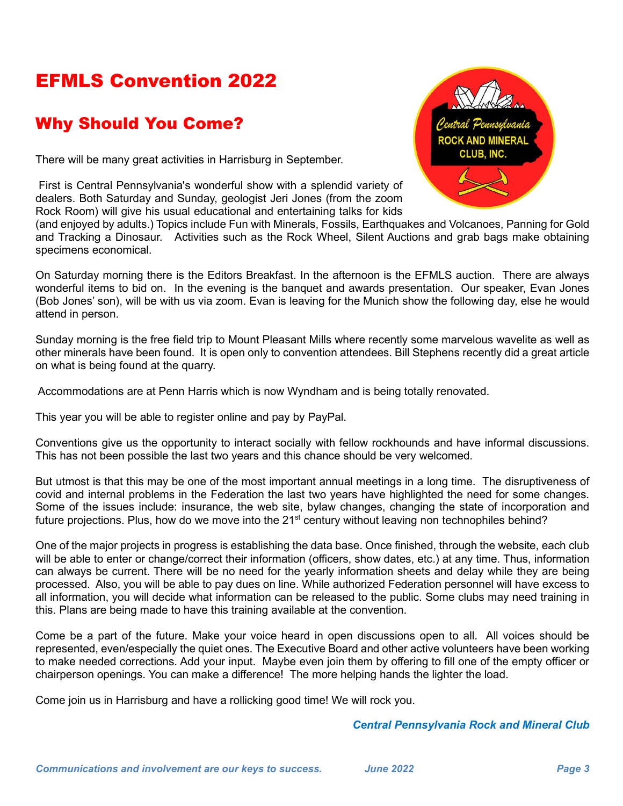# EFMLS Convention 2022

#### Why Should You Come?

There will be many great activities in Harrisburg in September.

First is Central Pennsylvania's wonderful show with a splendid variety of dealers. Both Saturday and Sunday, geologist Jeri Jones (from the zoom Rock Room) will give his usual educational and entertaining talks for kids



(and enjoyed by adults.) Topics include Fun with Minerals, Fossils, Earthquakes and Volcanoes, Panning for Gold and Tracking a Dinosaur. Activities such as the Rock Wheel, Silent Auctions and grab bags make obtaining specimens economical.

On Saturday morning there is the Editors Breakfast. In the afternoon is the EFMLS auction. There are always wonderful items to bid on. In the evening is the banquet and awards presentation. Our speaker, Evan Jones (Bob Jones' son), will be with us via zoom. Evan is leaving for the Munich show the following day, else he would attend in person.

Sunday morning is the free field trip to Mount Pleasant Mills where recently some marvelous wavelite as well as other minerals have been found. It is open only to convention attendees. Bill Stephens recently did a great article on what is being found at the quarry.

Accommodations are at Penn Harris which is now Wyndham and is being totally renovated.

This year you will be able to register online and pay by PayPal.

Conventions give us the opportunity to interact socially with fellow rockhounds and have informal discussions. This has not been possible the last two years and this chance should be very welcomed.

But utmost is that this may be one of the most important annual meetings in a long time. The disruptiveness of covid and internal problems in the Federation the last two years have highlighted the need for some changes. Some of the issues include: insurance, the web site, bylaw changes, changing the state of incorporation and future projections. Plus, how do we move into the 21<sup>st</sup> century without leaving non technophiles behind?

One of the major projects in progress is establishing the data base. Once finished, through the website, each club will be able to enter or change/correct their information (officers, show dates, etc.) at any time. Thus, information can always be current. There will be no need for the yearly information sheets and delay while they are being processed. Also, you will be able to pay dues on line. While authorized Federation personnel will have excess to all information, you will decide what information can be released to the public. Some clubs may need training in this. Plans are being made to have this training available at the convention.

Come be a part of the future. Make your voice heard in open discussions open to all. All voices should be represented, even/especially the quiet ones. The Executive Board and other active volunteers have been working to make needed corrections. Add your input. Maybe even join them by offering to fill one of the empty officer or chairperson openings. You can make a difference! The more helping hands the lighter the load.

Come join us in Harrisburg and have a rollicking good time! We will rock you.

#### *Central Pennsylvania Rock and Mineral Club*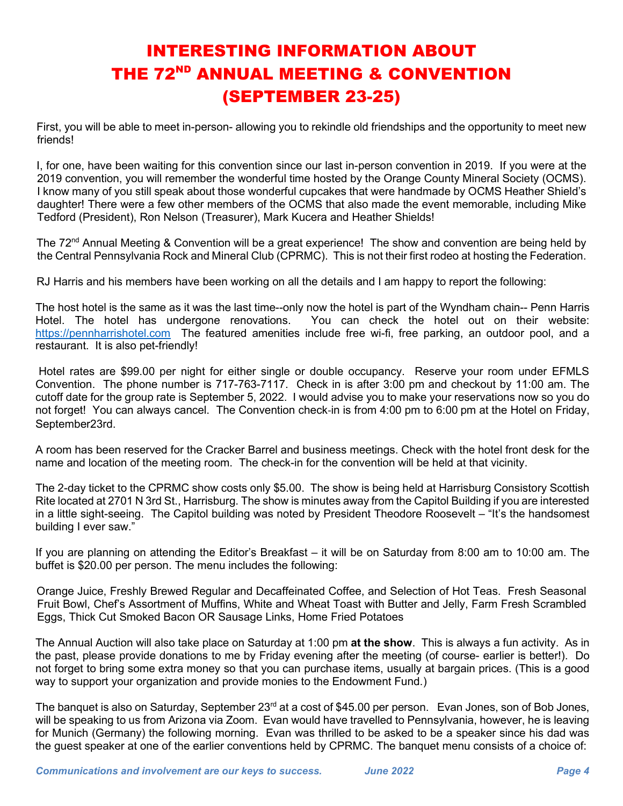## INTERESTING INFORMATION ABOUT THE 72<sup>ND</sup> ANNUAL MEETING & CONVENTION (SEPTEMBER 23-25)

First, you will be able to meet in-person- allowing you to rekindle old friendships and the opportunity to meet new friends!

I, for one, have been waiting for this convention since our last in-person convention in 2019. If you were at the 2019 convention, you will remember the wonderful time hosted by the Orange County Mineral Society (OCMS). I know many of you still speak about those wonderful cupcakes that were handmade by OCMS Heather Shield's daughter! There were a few other members of the OCMS that also made the event memorable, including Mike Tedford (President), Ron Nelson (Treasurer), Mark Kucera and Heather Shields!

The 72<sup>nd</sup> Annual Meeting & Convention will be a great experience! The show and convention are being held by the Central Pennsylvania Rock and Mineral Club (CPRMC). This is not their first rodeo at hosting the Federation.

RJ Harris and his members have been working on all the details and I am happy to report the following:

The host hotel is the same as it was the last time--only now the hotel is part of the Wyndham chain-- Penn Harris Hotel. The hotel has undergone renovations. You can check the hotel out on their website: [https://pennharrishotel.com](https://pennharrishotel.com/) The featured amenities include free wi-fi, free parking, an outdoor pool, and a restaurant. It is also pet-friendly!

Hotel rates are \$99.00 per night for either single or double occupancy. Reserve your room under EFMLS Convention. The phone number is 717-763-7117. Check in is after 3:00 pm and checkout by 11:00 am. The cutoff date for the group rate is September 5, 2022. I would advise you to make your reservations now so you do not forget! You can always cancel. The Convention check-in is from 4:00 pm to 6:00 pm at the Hotel on Friday, September23rd.

A room has been reserved for the Cracker Barrel and business meetings. Check with the hotel front desk for the name and location of the meeting room. The check-in for the convention will be held at that vicinity.

The 2-day ticket to the CPRMC show costs only \$5.00. The show is being held at Harrisburg Consistory Scottish Rite located at 2701 N 3rd St., Harrisburg. The show is minutes away from the Capitol Building if you are interested in a little sight-seeing. The Capitol building was noted by President Theodore Roosevelt – "It's the handsomest building I ever saw."

If you are planning on attending the Editor's Breakfast – it will be on Saturday from 8:00 am to 10:00 am. The buffet is \$20.00 per person. The menu includes the following:

Orange Juice, Freshly Brewed Regular and Decaffeinated Coffee, and Selection of Hot Teas. Fresh Seasonal Fruit Bowl, Chef's Assortment of Muffins, White and Wheat Toast with Butter and Jelly, Farm Fresh Scrambled Eggs, Thick Cut Smoked Bacon OR Sausage Links, Home Fried Potatoes

The Annual Auction will also take place on Saturday at 1:00 pm **at the show**. This is always a fun activity. As in the past, please provide donations to me by Friday evening after the meeting (of course- earlier is better!). Do not forget to bring some extra money so that you can purchase items, usually at bargain prices. (This is a good way to support your organization and provide monies to the Endowment Fund.)

The banquet is also on Saturday, September 23<sup>rd</sup> at a cost of \$45.00 per person. Evan Jones, son of Bob Jones, will be speaking to us from Arizona via Zoom. Evan would have travelled to Pennsylvania, however, he is leaving for Munich (Germany) the following morning. Evan was thrilled to be asked to be a speaker since his dad was the guest speaker at one of the earlier conventions held by CPRMC. The banquet menu consists of a choice of: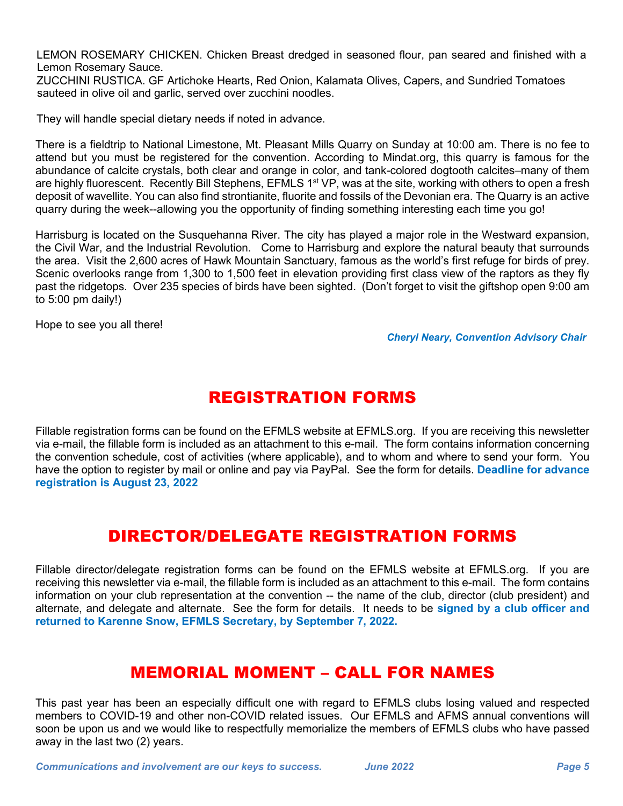LEMON ROSEMARY CHICKEN. Chicken Breast dredged in seasoned flour, pan seared and finished with a Lemon Rosemary Sauce.

ZUCCHINI RUSTICA. GF Artichoke Hearts, Red Onion, Kalamata Olives, Capers, and Sundried Tomatoes sauteed in olive oil and garlic, served over zucchini noodles.

They will handle special dietary needs if noted in advance.

There is a fieldtrip to National Limestone, Mt. Pleasant Mills Quarry on Sunday at 10:00 am. There is no fee to attend but you must be registered for the convention. According to Mindat.org, this quarry is famous for the abundance of calcite crystals, both clear and orange in color, and tank-colored dogtooth calcites–many of them are highly fluorescent. Recently Bill Stephens, EFMLS 1<sup>st</sup> VP, was at the site, working with others to open a fresh deposit of wavellite. You can also find strontianite, fluorite and fossils of the Devonian era. The Quarry is an active quarry during the week--allowing you the opportunity of finding something interesting each time you go!

Harrisburg is located on the Susquehanna River. The city has played a major role in the Westward expansion, the Civil War, and the Industrial Revolution. Come to Harrisburg and explore the natural beauty that surrounds the area. Visit the 2,600 acres of Hawk Mountain Sanctuary, famous as the world's first refuge for birds of prey. Scenic overlooks range from 1,300 to 1,500 feet in elevation providing first class view of the raptors as they fly past the ridgetops. Over 235 species of birds have been sighted. (Don't forget to visit the giftshop open 9:00 am to 5:00 pm daily!)

Hope to see you all there!

*Cheryl Neary, Convention Advisory Chair*

#### REGISTRATION FORMS

Fillable registration forms can be found on the EFMLS website at EFMLS.org. If you are receiving this newsletter via e-mail, the fillable form is included as an attachment to this e-mail. The form contains information concerning the convention schedule, cost of activities (where applicable), and to whom and where to send your form. You have the option to register by mail or online and pay via PayPal. See the form for details. **Deadline for advance registration is August 23, 2022**

#### DIRECTOR/DELEGATE REGISTRATION FORMS

Fillable director/delegate registration forms can be found on the EFMLS website at EFMLS.org. If you are receiving this newsletter via e-mail, the fillable form is included as an attachment to this e-mail. The form contains information on your club representation at the convention -- the name of the club, director (club president) and alternate, and delegate and alternate. See the form for details. It needs to be **signed by a club officer and returned to Karenne Snow, EFMLS Secretary, by September 7, 2022.** 

## MEMORIAL MOMENT – CALL FOR NAMES

This past year has been an especially difficult one with regard to EFMLS clubs losing valued and respected members to COVID-19 and other non-COVID related issues. Our EFMLS and AFMS annual conventions will soon be upon us and we would like to respectfully memorialize the members of EFMLS clubs who have passed away in the last two (2) years.

*Communications and involvement are our keys to success. June 2022 Page 5*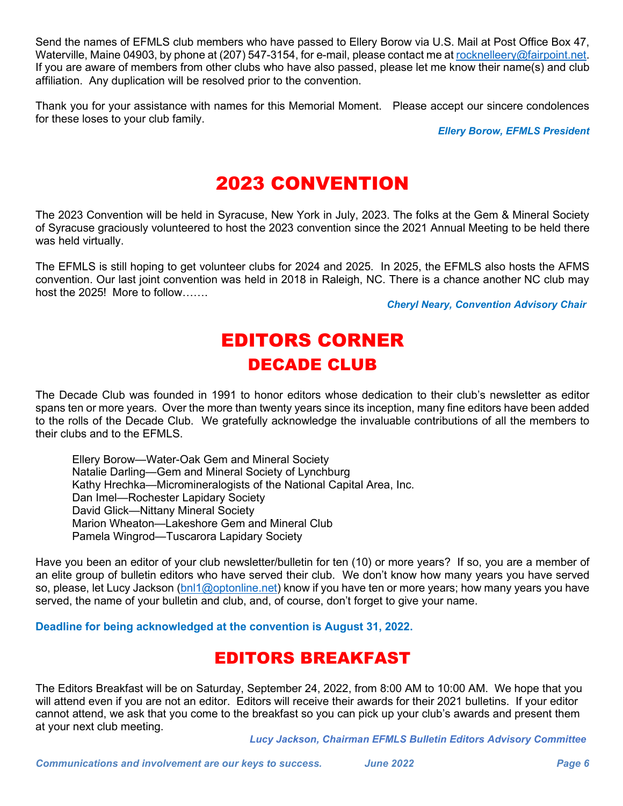Send the names of EFMLS club members who have passed to Ellery Borow via U.S. Mail at Post Office Box 47, Waterville, Maine 04903, by phone at (207) 547-3154, for e-mail, please contact me a[t rocknelleery@fairpoint.net.](mailto:rocknelleery@fairpoint.net) If you are aware of members from other clubs who have also passed, please let me know their name(s) and club affiliation. Any duplication will be resolved prior to the convention.

Thank you for your assistance with names for this Memorial Moment. Please accept our sincere condolences for these loses to your club family.

*Ellery Borow, EFMLS President*

## 2023 CONVENTION

The 2023 Convention will be held in Syracuse, New York in July, 2023. The folks at the Gem & Mineral Society of Syracuse graciously volunteered to host the 2023 convention since the 2021 Annual Meeting to be held there was held virtually.

The EFMLS is still hoping to get volunteer clubs for 2024 and 2025. In 2025, the EFMLS also hosts the AFMS convention. Our last joint convention was held in 2018 in Raleigh, NC. There is a chance another NC club may host the 2025! More to follow…….

*Cheryl Neary, Convention Advisory Chair*

# EDITORS CORNER DECADE CLUB

The Decade Club was founded in 1991 to honor editors whose dedication to their club's newsletter as editor spans ten or more years. Over the more than twenty years since its inception, many fine editors have been added to the rolls of the Decade Club. We gratefully acknowledge the invaluable contributions of all the members to their clubs and to the EFMLS

 Ellery Borow—Water-Oak Gem and Mineral Society Natalie Darling—Gem and Mineral Society of Lynchburg Kathy Hrechka—Micromineralogists of the National Capital Area, Inc. Dan Imel—Rochester Lapidary Society David Glick—Nittany Mineral Society Marion Wheaton—Lakeshore Gem and Mineral Club Pamela Wingrod—Tuscarora Lapidary Society

Have you been an editor of your club newsletter/bulletin for ten (10) or more years? If so, you are a member of an elite group of bulletin editors who have served their club. We don't know how many years you have served so, please, let Lucy Jackson [\(bnl1@optonline.net\)](mailto:bnl1@optonline.net) know if you have ten or more years; how many years you have served, the name of your bulletin and club, and, of course, don't forget to give your name.

**Deadline for being acknowledged at the convention is August 31, 2022.** 

#### EDITORS BREAKFAST

The Editors Breakfast will be on Saturday, September 24, 2022, from 8:00 AM to 10:00 AM. We hope that you will attend even if you are not an editor. Editors will receive their awards for their 2021 bulletins. If your editor cannot attend, we ask that you come to the breakfast so you can pick up your club's awards and present them at your next club meeting.

*Lucy Jackson, Chairman EFMLS Bulletin Editors Advisory Committee*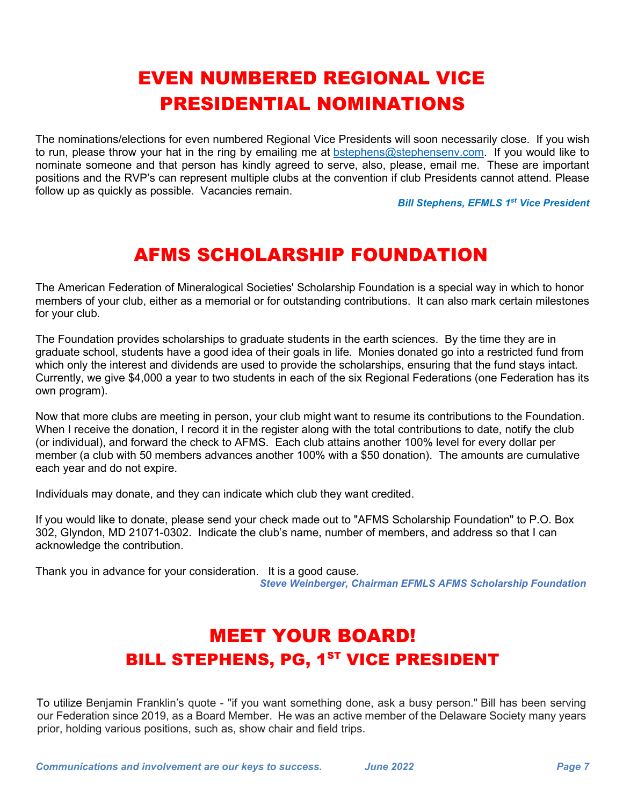# EVEN NUMBERED REGIONAL VICE PRESIDENTIAL NOMINATIONS

The nominations/elections for even numbered Regional Vice Presidents will soon necessarily close. If you wish to run, please throw your hat in the ring by emailing me at [bstephens@stephensenv.com.](mailto:bstephens@stephensenv.com) If you would like to nominate someone and that person has kindly agreed to serve, also, please, email me. These are important positions and the RVP's can represent multiple clubs at the convention if club Presidents cannot attend. Please follow up as quickly as possible. Vacancies remain.

*Bill Stephens, EFMLS 1st Vice President*

# AFMS SCHOLARSHIP FOUNDATION

The American Federation of Mineralogical Societies' Scholarship Foundation is a special way in which to honor members of your club, either as a memorial or for outstanding contributions. It can also mark certain milestones for your club.

The Foundation provides scholarships to graduate students in the earth sciences. By the time they are in graduate school, students have a good idea of their goals in life. Monies donated go into a restricted fund from which only the interest and dividends are used to provide the scholarships, ensuring that the fund stays intact. Currently, we give \$4,000 a year to two students in each of the six Regional Federations (one Federation has its own program).

Now that more clubs are meeting in person, your club might want to resume its contributions to the Foundation. When I receive the donation, I record it in the register along with the total contributions to date, notify the club (or individual), and forward the check to AFMS. Each club attains another 100% level for every dollar per member (a club with 50 members advances another 100% with a \$50 donation). The amounts are cumulative each year and do not expire.

Individuals may donate, and they can indicate which club they want credited.

If you would like to donate, please send your check made out to "AFMS Scholarship Foundation" to P.O. Box 302, Glyndon, MD 21071-0302. Indicate the club's name, number of members, and address so that I can acknowledge the contribution.

Thank you in advance for your consideration. It is a good cause. *Steve Weinberger, Chairman EFMLS AFMS Scholarship Foundation*

# MEET YOUR BOARD! BILL STEPHENS, PG, 1<sup>ST</sup> VICE PRESIDENT

To utilize Benjamin Franklin's quote - "if you want something done, ask a busy person." Bill has been serving our Federation since 2019, as a Board Member. He was an active member of the Delaware Society many years prior, holding various positions, such as, show chair and field trips.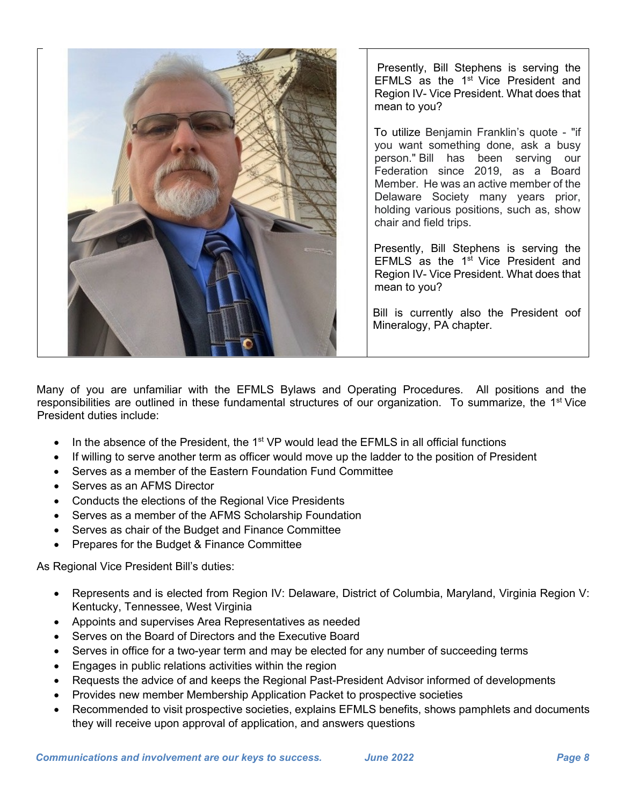

Presently, Bill Stephens is serving the EFMLS as the 1<sup>st</sup> Vice President and Region IV- Vice President. What does that mean to you?

To utilize Benjamin Franklin's quote - "if you want something done, ask a busy person." Bill has been serving our Federation since 2019, as a Board Member. He was an active member of the Delaware Society many years prior, holding various positions, such as, show chair and field trips.

Presently, Bill Stephens is serving the EFMLS as the 1<sup>st</sup> Vice President and Region IV- Vice President. What does that mean to you?

Bill is currently also the President oof Mineralogy, PA chapter.

Many of you are unfamiliar with the EFMLS Bylaws and Operating Procedures. All positions and the responsibilities are outlined in these fundamental structures of our organization. To summarize, the 1<sup>st</sup> Vice President duties include:

- In the absence of the President, the 1<sup>st</sup> VP would lead the EFMLS in all official functions
- If willing to serve another term as officer would move up the ladder to the position of President
- Serves as a member of the Eastern Foundation Fund Committee
- Serves as an AFMS Director
- Conducts the elections of the Regional Vice Presidents
- Serves as a member of the AFMS Scholarship Foundation
- Serves as chair of the Budget and Finance Committee
- Prepares for the Budget & Finance Committee

As Regional Vice President Bill's duties:

- Represents and is elected from Region IV: Delaware, District of Columbia, Maryland, Virginia Region V: Kentucky, Tennessee, West Virginia
- Appoints and supervises Area Representatives as needed
- Serves on the Board of Directors and the Executive Board
- Serves in office for a two-year term and may be elected for any number of succeeding terms
- Engages in public relations activities within the region
- Requests the advice of and keeps the Regional Past-President Advisor informed of developments
- Provides new member Membership Application Packet to prospective societies
- Recommended to visit prospective societies, explains EFMLS benefits, shows pamphlets and documents they will receive upon approval of application, and answers questions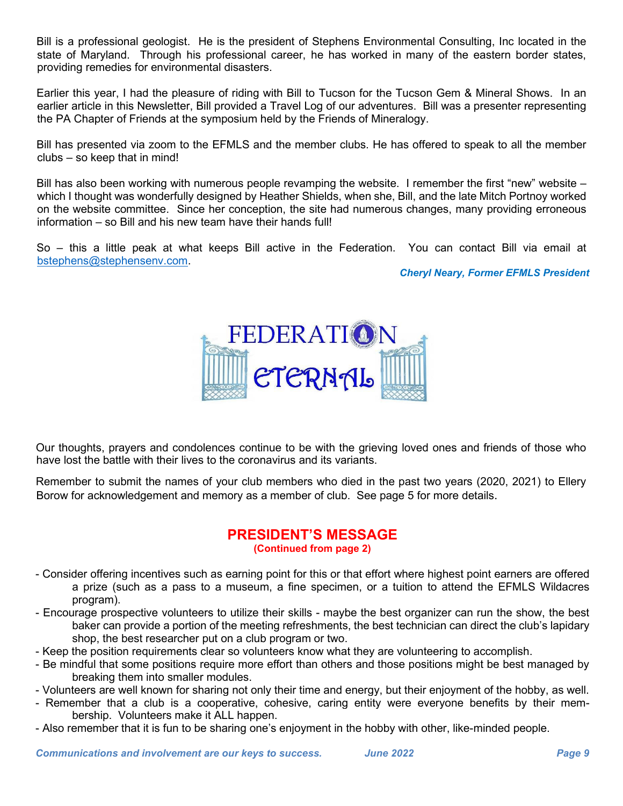Bill is a professional geologist. He is the president of Stephens Environmental Consulting, Inc located in the state of Maryland. Through his professional career, he has worked in many of the eastern border states, providing remedies for environmental disasters.

Earlier this year, I had the pleasure of riding with Bill to Tucson for the Tucson Gem & Mineral Shows. In an earlier article in this Newsletter, Bill provided a Travel Log of our adventures. Bill was a presenter representing the PA Chapter of Friends at the symposium held by the Friends of Mineralogy.

Bill has presented via zoom to the EFMLS and the member clubs. He has offered to speak to all the member clubs – so keep that in mind!

Bill has also been working with numerous people revamping the website. I remember the first "new" website – which I thought was wonderfully designed by Heather Shields, when she, Bill, and the late Mitch Portnoy worked on the website committee. Since her conception, the site had numerous changes, many providing erroneous information – so Bill and his new team have their hands full!

So – this a little peak at what keeps Bill active in the Federation. You can contact Bill via email at [bstephens@stephensenv.com.](mailto:bstephens@stephensenv.com)

*Cheryl Neary, Former EFMLS President*



Our thoughts, prayers and condolences continue to be with the grieving loved ones and friends of those who have lost the battle with their lives to the coronavirus and its variants.

Remember to submit the names of your club members who died in the past two years (2020, 2021) to Ellery Borow for acknowledgement and memory as a member of club. See page 5 for more details.

#### **PRESIDENT'S MESSAGE**

#### **(Continued from page 2)**

- Consider offering incentives such as earning point for this or that effort where highest point earners are offered a prize (such as a pass to a museum, a fine specimen, or a tuition to attend the EFMLS Wildacres program).
- Encourage prospective volunteers to utilize their skills maybe the best organizer can run the show, the best baker can provide a portion of the meeting refreshments, the best technician can direct the club's lapidary shop, the best researcher put on a club program or two.
- Keep the position requirements clear so volunteers know what they are volunteering to accomplish.
- Be mindful that some positions require more effort than others and those positions might be best managed by breaking them into smaller modules.
- Volunteers are well known for sharing not only their time and energy, but their enjoyment of the hobby, as well.
- Remember that a club is a cooperative, cohesive, caring entity were everyone benefits by their membership. Volunteers make it ALL happen.
- Also remember that it is fun to be sharing one's enjoyment in the hobby with other, like-minded people.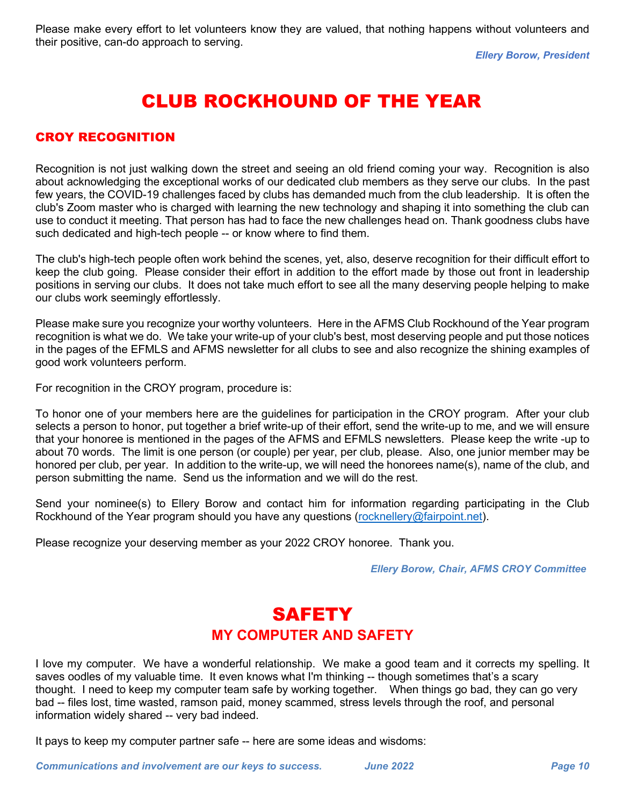*Ellery Borow, President*

# CLUB ROCKHOUND OF THE YEAR

#### CROY RECOGNITION

Recognition is not just walking down the street and seeing an old friend coming your way. Recognition is also about acknowledging the exceptional works of our dedicated club members as they serve our clubs. In the past few years, the COVID-19 challenges faced by clubs has demanded much from the club leadership. It is often the club's Zoom master who is charged with learning the new technology and shaping it into something the club can use to conduct it meeting. That person has had to face the new challenges head on. Thank goodness clubs have such dedicated and high-tech people -- or know where to find them.

The club's high-tech people often work behind the scenes, yet, also, deserve recognition for their difficult effort to keep the club going. Please consider their effort in addition to the effort made by those out front in leadership positions in serving our clubs. It does not take much effort to see all the many deserving people helping to make our clubs work seemingly effortlessly.

Please make sure you recognize your worthy volunteers. Here in the AFMS Club Rockhound of the Year program recognition is what we do. We take your write-up of your club's best, most deserving people and put those notices in the pages of the EFMLS and AFMS newsletter for all clubs to see and also recognize the shining examples of good work volunteers perform.

For recognition in the CROY program, procedure is:

To honor one of your members here are the guidelines for participation in the CROY program. After your club selects a person to honor, put together a brief write-up of their effort, send the write-up to me, and we will ensure that your honoree is mentioned in the pages of the AFMS and EFMLS newsletters. Please keep the write -up to about 70 words. The limit is one person (or couple) per year, per club, please. Also, one junior member may be honored per club, per year. In addition to the write-up, we will need the honorees name(s), name of the club, and person submitting the name. Send us the information and we will do the rest.

Send your nominee(s) to Ellery Borow and contact him for information regarding participating in the Club Rockhound of the Year program should you have any questions [\(rocknellery@fairpoint.net\)](mailto:rocknellery@fairpoint.net).

Please recognize your deserving member as your 2022 CROY honoree. Thank you.

*Ellery Borow, Chair, AFMS CROY Committee*

#### **SAFETY MY COMPUTER AND SAFETY**

I love my computer. We have a wonderful relationship. We make a good team and it corrects my spelling. It saves oodles of my valuable time. It even knows what I'm thinking -- though sometimes that's a scary thought. I need to keep my computer team safe by working together. When things go bad, they can go very bad -- files lost, time wasted, ramson paid, money scammed, stress levels through the roof, and personal information widely shared -- very bad indeed.

It pays to keep my computer partner safe -- here are some ideas and wisdoms: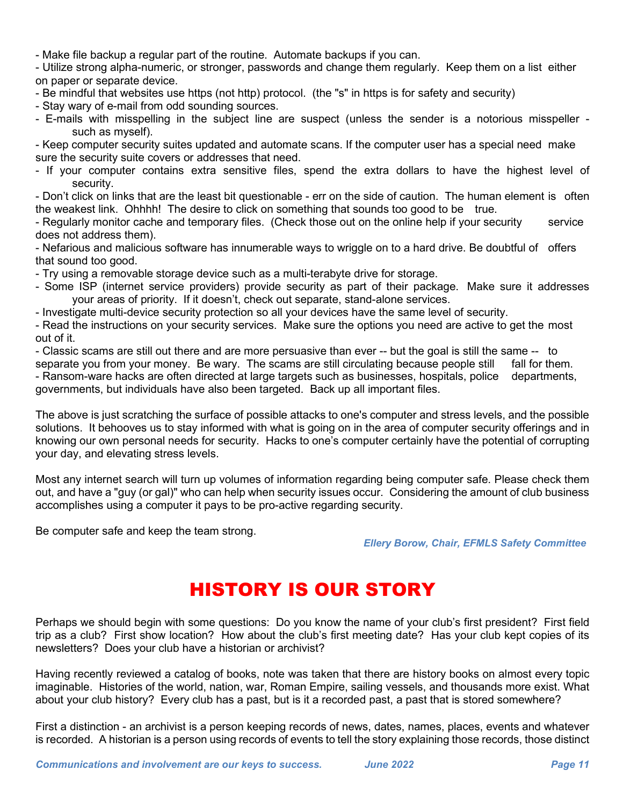- Make file backup a regular part of the routine. Automate backups if you can.

- Utilize strong alpha-numeric, or stronger, passwords and change them regularly. Keep them on a list either on paper or separate device.

- Be mindful that websites use https (not http) protocol. (the "s" in https is for safety and security)

- Stay wary of e-mail from odd sounding sources.
- E-mails with misspelling in the subject line are suspect (unless the sender is a notorious misspeller such as myself).

- Keep computer security suites updated and automate scans. If the computer user has a special need make sure the security suite covers or addresses that need.

- If your computer contains extra sensitive files, spend the extra dollars to have the highest level of security.

- Don't click on links that are the least bit questionable - err on the side of caution. The human element is often the weakest link. Ohhhh! The desire to click on something that sounds too good to be true.

- Regularly monitor cache and temporary files. (Check those out on the online help if your security service does not address them).

- Nefarious and malicious software has innumerable ways to wriggle on to a hard drive. Be doubtful of offers that sound too good.

- Try using a removable storage device such as a multi-terabyte drive for storage.

- Some ISP (internet service providers) provide security as part of their package. Make sure it addresses your areas of priority. If it doesn't, check out separate, stand-alone services.

- Investigate multi-device security protection so all your devices have the same level of security.

- Read the instructions on your security services. Make sure the options you need are active to get the most out of it.

- Classic scams are still out there and are more persuasive than ever -- but the goal is still the same -- to

separate you from your money. Be wary. The scams are still circulating because people still fall for them. - Ransom-ware hacks are often directed at large targets such as businesses, hospitals, police departments, governments, but individuals have also been targeted. Back up all important files.

The above is just scratching the surface of possible attacks to one's computer and stress levels, and the possible solutions. It behooves us to stay informed with what is going on in the area of computer security offerings and in knowing our own personal needs for security. Hacks to one's computer certainly have the potential of corrupting your day, and elevating stress levels.

Most any internet search will turn up volumes of information regarding being computer safe. Please check them out, and have a "guy (or gal)" who can help when security issues occur. Considering the amount of club business accomplishes using a computer it pays to be pro-active regarding security.

Be computer safe and keep the team strong.

#### *Ellery Borow, Chair, EFMLS Safety Committee*

# HISTORY IS OUR STORY

Perhaps we should begin with some questions: Do you know the name of your club's first president? First field trip as a club? First show location? How about the club's first meeting date? Has your club kept copies of its newsletters? Does your club have a historian or archivist?

Having recently reviewed a catalog of books, note was taken that there are history books on almost every topic imaginable. Histories of the world, nation, war, Roman Empire, sailing vessels, and thousands more exist. What about your club history? Every club has a past, but is it a recorded past, a past that is stored somewhere?

First a distinction - an archivist is a person keeping records of news, dates, names, places, events and whatever is recorded. A historian is a person using records of events to tell the story explaining those records, those distinct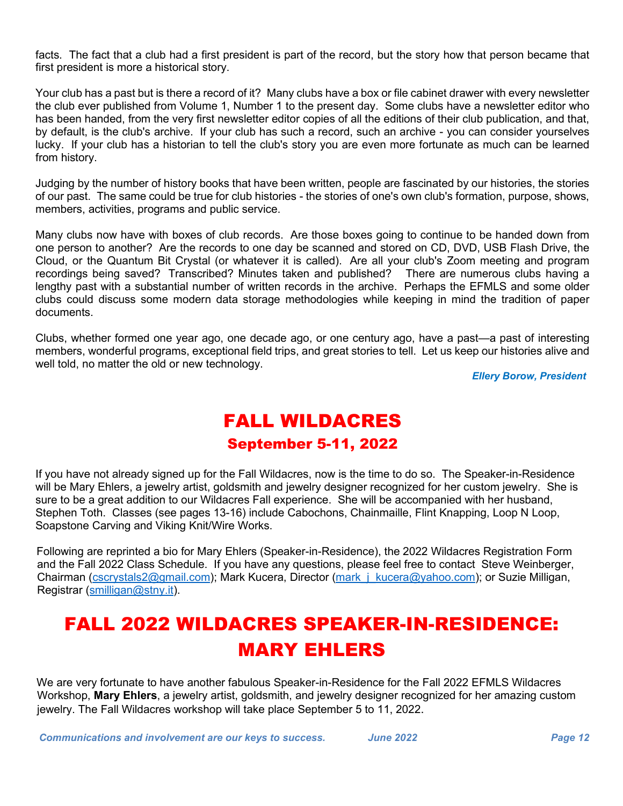facts. The fact that a club had a first president is part of the record, but the story how that person became that first president is more a historical story.

Your club has a past but is there a record of it? Many clubs have a box or file cabinet drawer with every newsletter the club ever published from Volume 1, Number 1 to the present day. Some clubs have a newsletter editor who has been handed, from the very first newsletter editor copies of all the editions of their club publication, and that, by default, is the club's archive. If your club has such a record, such an archive - you can consider yourselves lucky. If your club has a historian to tell the club's story you are even more fortunate as much can be learned from history.

Judging by the number of history books that have been written, people are fascinated by our histories, the stories of our past. The same could be true for club histories - the stories of one's own club's formation, purpose, shows, members, activities, programs and public service.

Many clubs now have with boxes of club records. Are those boxes going to continue to be handed down from one person to another? Are the records to one day be scanned and stored on CD, DVD, USB Flash Drive, the Cloud, or the Quantum Bit Crystal (or whatever it is called). Are all your club's Zoom meeting and program recordings being saved? Transcribed? Minutes taken and published? There are numerous clubs having a lengthy past with a substantial number of written records in the archive. Perhaps the EFMLS and some older clubs could discuss some modern data storage methodologies while keeping in mind the tradition of paper documents.

Clubs, whether formed one year ago, one decade ago, or one century ago, have a past—a past of interesting members, wonderful programs, exceptional field trips, and great stories to tell. Let us keep our histories alive and well told, no matter the old or new technology.

*Ellery Borow, President*

## FALL WILDACRES September 5-11, 2022

If you have not already signed up for the Fall Wildacres, now is the time to do so. The Speaker-in-Residence will be Mary Ehlers, a jewelry artist, goldsmith and jewelry designer recognized for her custom jewelry. She is sure to be a great addition to our Wildacres Fall experience. She will be accompanied with her husband, Stephen Toth. Classes (see pages 13-16) include Cabochons, Chainmaille, Flint Knapping, Loop N Loop, Soapstone Carving and Viking Knit/Wire Works.

Following are reprinted a bio for Mary Ehlers (Speaker-in-Residence), the 2022 Wildacres Registration Form and the Fall 2022 Class Schedule. If you have any questions, please feel free to contact Steve Weinberger, Chairman [\(cscrystals2@gmail.com\)](mailto:cscrystals2@gmail.com); Mark Kucera, Director (mark j kucera@yahoo.com); or Suzie Milligan, Registrar [\(smilligan@stny.it\)](mailto:smilligan@stny.it).

# FALL 2022 WILDACRES SPEAKER-IN-RESIDENCE: MARY EHLERS

We are very fortunate to have another fabulous Speaker-in-Residence for the Fall 2022 EFMLS Wildacres Workshop, **Mary Ehlers**, a jewelry artist, goldsmith, and jewelry designer recognized for her amazing custom jewelry. The Fall Wildacres workshop will take place September 5 to 11, 2022.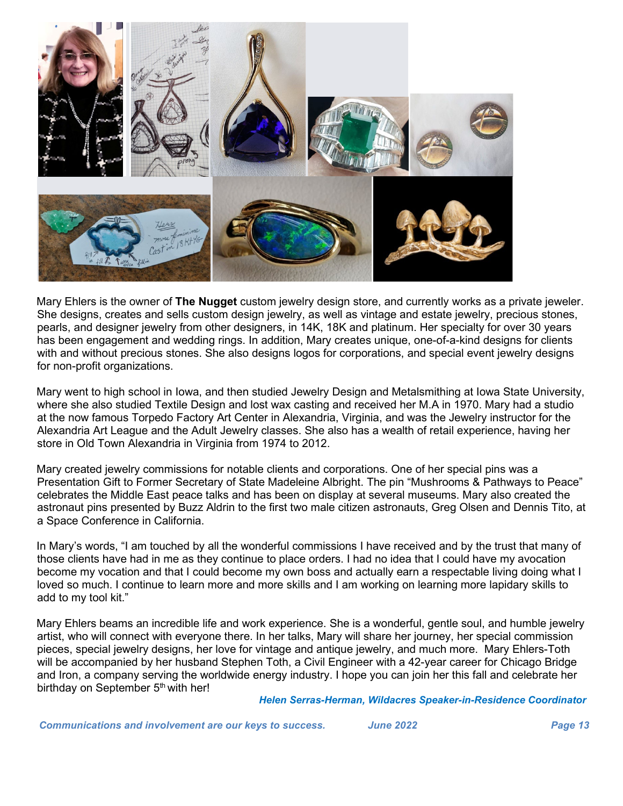

Mary Ehlers is the owner of **The Nugget** custom jewelry design store, and currently works as a private jeweler. She designs, creates and sells custom design jewelry, as well as vintage and estate jewelry, precious stones, pearls, and designer jewelry from other designers, in 14K, 18K and platinum. Her specialty for over 30 years has been engagement and wedding rings. In addition, Mary creates unique, one-of-a-kind designs for clients with and without precious stones. She also designs logos for corporations, and special event jewelry designs for non-profit organizations.

Mary went to high school in Iowa, and then studied Jewelry Design and Metalsmithing at Iowa State University, where she also studied Textile Design and lost wax casting and received her M.A in 1970. Mary had a studio at the now famous Torpedo Factory Art Center in Alexandria, Virginia, and was the Jewelry instructor for the Alexandria Art League and the Adult Jewelry classes. She also has a wealth of retail experience, having her store in Old Town Alexandria in Virginia from 1974 to 2012.

Mary created jewelry commissions for notable clients and corporations. One of her special pins was a Presentation Gift to Former Secretary of State Madeleine Albright. The pin "Mushrooms & Pathways to Peace" celebrates the Middle East peace talks and has been on display at several museums. Mary also created the astronaut pins presented by Buzz Aldrin to the first two male citizen astronauts, Greg Olsen and Dennis Tito, at a Space Conference in California.

In Mary's words, "I am touched by all the wonderful commissions I have received and by the trust that many of those clients have had in me as they continue to place orders. I had no idea that I could have my avocation become my vocation and that I could become my own boss and actually earn a respectable living doing what I loved so much. I continue to learn more and more skills and I am working on learning more lapidary skills to add to my tool kit."

Mary Ehlers beams an incredible life and work experience. She is a wonderful, gentle soul, and humble jewelry artist, who will connect with everyone there. In her talks, Mary will share her journey, her special commission pieces, special jewelry designs, her love for vintage and antique jewelry, and much more. Mary Ehlers-Toth will be accompanied by her husband Stephen Toth, a Civil Engineer with a 42-year career for Chicago Bridge and Iron, a company serving the worldwide energy industry. I hope you can join her this fall and celebrate her birthday on September 5<sup>th</sup> with her!

*Helen Serras-Herman, Wildacres Speaker-in-Residence Coordinator*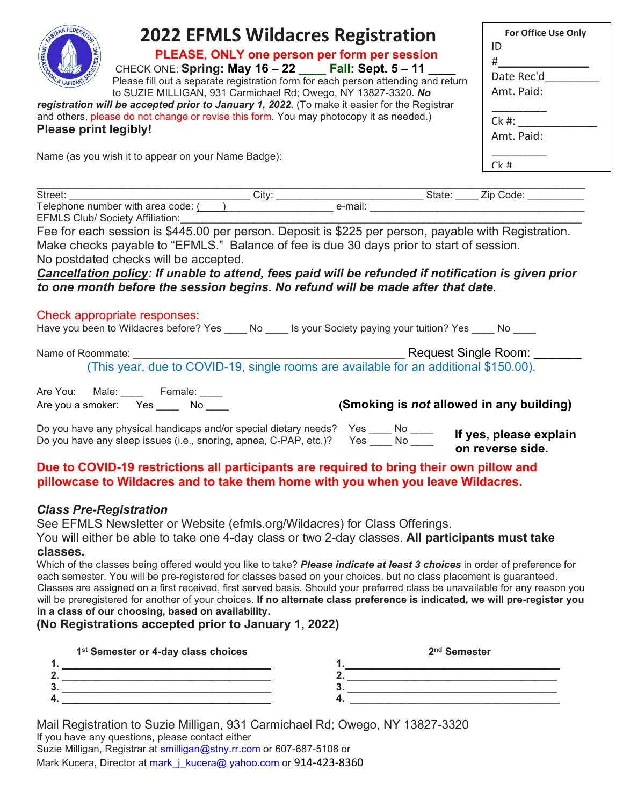| <b>2022 EFMLS Wildacres Registration</b><br>PLEASE, ONLY one person per form per session<br>CHECK ONE: Spring: May 16 - 22 ____ Fall: Sept. 5 - 11<br>Please fill out a separate registration form for each person attending and return<br>to SUZIE MILLIGAN, 931 Carmichael Rd; Owego, NY 13827-3320. No<br>registration will be accepted prior to January 1, 2022. (To make it easier for the Registrar<br>and others, please do not change or revise this form. You may photocopy it as needed.)<br><b>Please print legibly!</b><br>Name (as you wish it to appear on your Name Badge):                                                                                                                                                                                                                                                               | For Office Use Only<br>ID<br>$\#$ and $\#$<br>Date Rec'd<br>Amt. Paid:<br>$Ck$ #: $\qquad$<br>Amt. Paid:<br>$Ck$ # |
|----------------------------------------------------------------------------------------------------------------------------------------------------------------------------------------------------------------------------------------------------------------------------------------------------------------------------------------------------------------------------------------------------------------------------------------------------------------------------------------------------------------------------------------------------------------------------------------------------------------------------------------------------------------------------------------------------------------------------------------------------------------------------------------------------------------------------------------------------------|--------------------------------------------------------------------------------------------------------------------|
|                                                                                                                                                                                                                                                                                                                                                                                                                                                                                                                                                                                                                                                                                                                                                                                                                                                          |                                                                                                                    |
|                                                                                                                                                                                                                                                                                                                                                                                                                                                                                                                                                                                                                                                                                                                                                                                                                                                          |                                                                                                                    |
| <b>EFMLS Club/ Society Affiliation:</b><br>Fee for each session is \$445.00 per person. Deposit is \$225 per person, payable with Registration.<br>Make checks payable to "EFMLS." Balance of fee is due 30 days prior to start of session.<br>No postdated checks will be accepted.<br>Cancellation policy: If unable to attend, fees paid will be refunded if notification is given prior<br>to one month before the session begins. No refund will be made after that date.                                                                                                                                                                                                                                                                                                                                                                           |                                                                                                                    |
| Check appropriate responses:<br>Have you been to Wildacres before? Yes ____ No ____ Is your Society paying your tuition? Yes ____ No ____                                                                                                                                                                                                                                                                                                                                                                                                                                                                                                                                                                                                                                                                                                                |                                                                                                                    |
| Name of Roommate:                                                                                                                                                                                                                                                                                                                                                                                                                                                                                                                                                                                                                                                                                                                                                                                                                                        |                                                                                                                    |
| Are You: Male: Female: ___<br>(Smoking is not allowed in any building)<br>Are you a smoker: Yes _____ No ____                                                                                                                                                                                                                                                                                                                                                                                                                                                                                                                                                                                                                                                                                                                                            |                                                                                                                    |
| Do you have any physical handicaps and/or special dietary needs? Yes ____ No ____<br>Do you have any sleep issues (i.e., snoring, apnea, C-PAP, etc.)? Yes ____ No _____ On reverse side                                                                                                                                                                                                                                                                                                                                                                                                                                                                                                                                                                                                                                                                 | on reverse side.                                                                                                   |
| Due to COVID-19 restrictions all participants are required to bring their own pillow and<br>pillowcase to Wildacres and to take them home with you when you leave Wildacres.                                                                                                                                                                                                                                                                                                                                                                                                                                                                                                                                                                                                                                                                             |                                                                                                                    |
| <b>Class Pre-Registration</b><br>See EFMLS Newsletter or Website (efmls.org/Wildacres) for Class Offerings.<br>You will either be able to take one 4-day class or two 2-day classes. All participants must take<br>classes.<br>Which of the classes being offered would you like to take? Please indicate at least 3 choices in order of preference for<br>each semester. You will be pre-registered for classes based on your choices, but no class placement is guaranteed.<br>Classes are assigned on a first received, first served basis. Should your preferred class be unavailable for any reason you<br>will be preregistered for another of your choices. If no alternate class preference is indicated, we will pre-register you<br>in a class of our choosing, based on availability.<br>(No Registrations accepted prior to January 1, 2022) |                                                                                                                    |

|           | 1 <sup>st</sup> Semester or 4-day class choices | 2 <sup>nd</sup> Semester |
|-----------|-------------------------------------------------|--------------------------|
|           |                                                 |                          |
|           |                                                 |                          |
| $\bullet$ |                                                 | u                        |
|           |                                                 |                          |

Mail Registration to Suzie Milligan, 931 Carmichael Rd; Owego, NY 13827-3320 If you have any questions, please contact either Suzie Milligan, Registrar at smilligan@stny.rr.com or 607-687-5108 or

Mark Kucera, Director at mark\_j\_kucera@ yahoo.com or 914-423-8360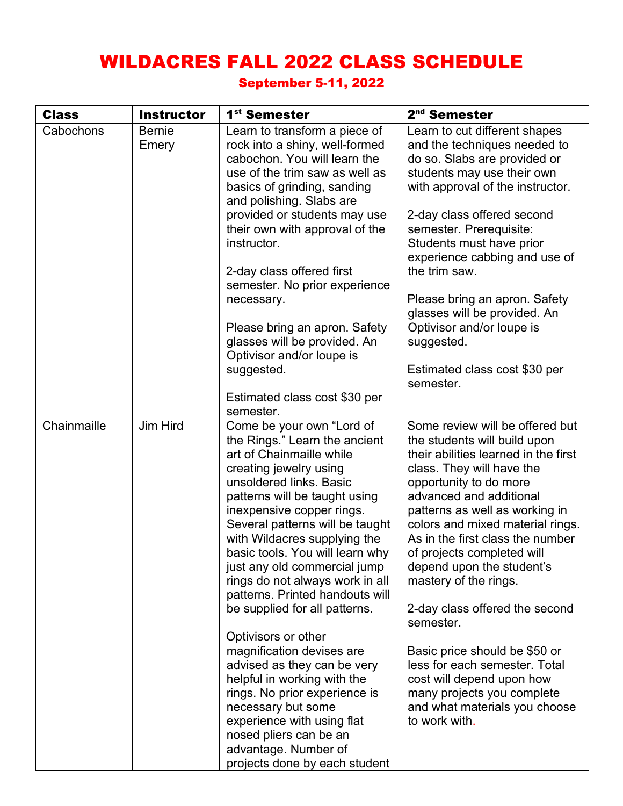# WILDACRES FALL 2022 CLASS SCHEDULE

#### September 5-11, 2022

| <b>Class</b> | <b>Instructor</b> | 1 <sup>st</sup> Semester                                                                                                                                                                                                                                                                                                                                                                                                                                                                                                                                                                                                                                                                                                                         | 2 <sup>nd</sup> Semester                                                                                                                                                                                                                                                                                                                                                                                                                                                                                                                                                                                              |
|--------------|-------------------|--------------------------------------------------------------------------------------------------------------------------------------------------------------------------------------------------------------------------------------------------------------------------------------------------------------------------------------------------------------------------------------------------------------------------------------------------------------------------------------------------------------------------------------------------------------------------------------------------------------------------------------------------------------------------------------------------------------------------------------------------|-----------------------------------------------------------------------------------------------------------------------------------------------------------------------------------------------------------------------------------------------------------------------------------------------------------------------------------------------------------------------------------------------------------------------------------------------------------------------------------------------------------------------------------------------------------------------------------------------------------------------|
| Cabochons    | Bernie<br>Emery   | Learn to transform a piece of<br>rock into a shiny, well-formed<br>cabochon. You will learn the<br>use of the trim saw as well as<br>basics of grinding, sanding<br>and polishing. Slabs are<br>provided or students may use<br>their own with approval of the<br>instructor.<br>2-day class offered first<br>semester. No prior experience<br>necessary.<br>Please bring an apron. Safety<br>glasses will be provided. An<br>Optivisor and/or loupe is<br>suggested.<br>Estimated class cost \$30 per                                                                                                                                                                                                                                           | Learn to cut different shapes<br>and the techniques needed to<br>do so. Slabs are provided or<br>students may use their own<br>with approval of the instructor.<br>2-day class offered second<br>semester. Prerequisite:<br>Students must have prior<br>experience cabbing and use of<br>the trim saw.<br>Please bring an apron. Safety<br>glasses will be provided. An<br>Optivisor and/or loupe is<br>suggested.<br>Estimated class cost \$30 per<br>semester.                                                                                                                                                      |
|              |                   | semester.                                                                                                                                                                                                                                                                                                                                                                                                                                                                                                                                                                                                                                                                                                                                        |                                                                                                                                                                                                                                                                                                                                                                                                                                                                                                                                                                                                                       |
| Chainmaille  | Jim Hird          | Come be your own "Lord of<br>the Rings." Learn the ancient<br>art of Chainmaille while<br>creating jewelry using<br>unsoldered links. Basic<br>patterns will be taught using<br>inexpensive copper rings.<br>Several patterns will be taught<br>with Wildacres supplying the<br>basic tools. You will learn why<br>just any old commercial jump<br>rings do not always work in all<br>patterns. Printed handouts will<br>be supplied for all patterns.<br>Optivisors or other<br>magnification devises are<br>advised as they can be very<br>helpful in working with the<br>rings. No prior experience is<br>necessary but some<br>experience with using flat<br>nosed pliers can be an<br>advantage. Number of<br>projects done by each student | Some review will be offered but<br>the students will build upon<br>their abilities learned in the first<br>class. They will have the<br>opportunity to do more<br>advanced and additional<br>patterns as well as working in<br>colors and mixed material rings.<br>As in the first class the number<br>of projects completed will<br>depend upon the student's<br>mastery of the rings.<br>2-day class offered the second<br>semester.<br>Basic price should be \$50 or<br>less for each semester. Total<br>cost will depend upon how<br>many projects you complete<br>and what materials you choose<br>to work with. |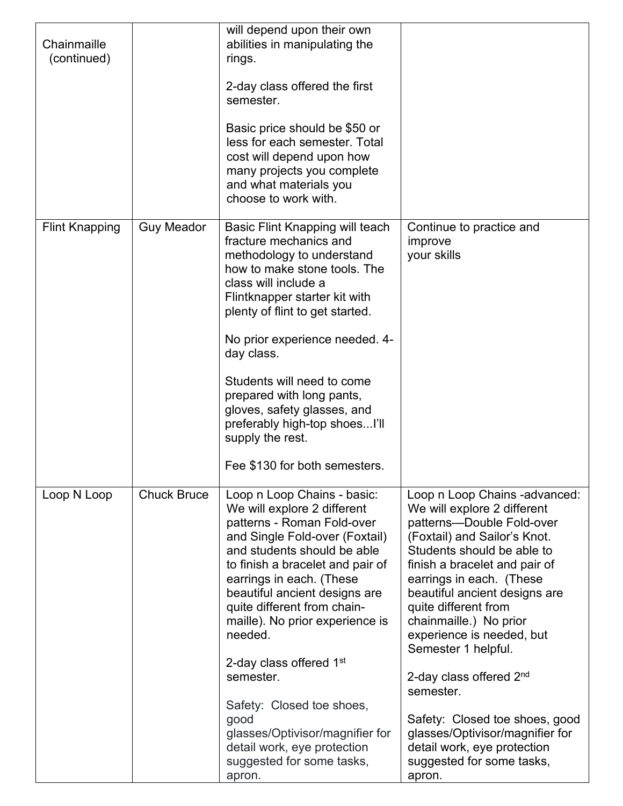| Chainmaille<br>(continued) |                    | will depend upon their own<br>abilities in manipulating the<br>rings.<br>2-day class offered the first<br>semester.<br>Basic price should be \$50 or<br>less for each semester. Total<br>cost will depend upon how<br>many projects you complete<br>and what materials you<br>choose to work with.                                                                                                                                                                                                                                        |                                                                                                                                                                                                                                                                                                                                                                                                                                                                                                                                                |
|----------------------------|--------------------|-------------------------------------------------------------------------------------------------------------------------------------------------------------------------------------------------------------------------------------------------------------------------------------------------------------------------------------------------------------------------------------------------------------------------------------------------------------------------------------------------------------------------------------------|------------------------------------------------------------------------------------------------------------------------------------------------------------------------------------------------------------------------------------------------------------------------------------------------------------------------------------------------------------------------------------------------------------------------------------------------------------------------------------------------------------------------------------------------|
| <b>Flint Knapping</b>      | <b>Guy Meador</b>  | Basic Flint Knapping will teach<br>fracture mechanics and<br>methodology to understand<br>how to make stone tools. The<br>class will include a<br>Flintknapper starter kit with<br>plenty of flint to get started.<br>No prior experience needed. 4-<br>day class.<br>Students will need to come<br>prepared with long pants,<br>gloves, safety glasses, and<br>preferably high-top shoesI'll<br>supply the rest.<br>Fee \$130 for both semesters.                                                                                        | Continue to practice and<br>improve<br>your skills                                                                                                                                                                                                                                                                                                                                                                                                                                                                                             |
| Loop N Loop                | <b>Chuck Bruce</b> | Loop n Loop Chains - basic:<br>We will explore 2 different<br>patterns - Roman Fold-over<br>and Single Fold-over (Foxtail)<br>and students should be able<br>to finish a bracelet and pair of<br>earrings in each. (These<br>beautiful ancient designs are<br>quite different from chain-<br>maille). No prior experience is<br>needed.<br>2-day class offered 1 <sup>st</sup><br>semester.<br>Safety: Closed toe shoes,<br>good<br>glasses/Optivisor/magnifier for<br>detail work, eye protection<br>suggested for some tasks,<br>apron. | Loop n Loop Chains -advanced:<br>We will explore 2 different<br>patterns-Double Fold-over<br>(Foxtail) and Sailor's Knot.<br>Students should be able to<br>finish a bracelet and pair of<br>earrings in each. (These<br>beautiful ancient designs are<br>quite different from<br>chainmaille.) No prior<br>experience is needed, but<br>Semester 1 helpful.<br>2-day class offered 2nd<br>semester.<br>Safety: Closed toe shoes, good<br>glasses/Optivisor/magnifier for<br>detail work, eye protection<br>suggested for some tasks,<br>apron. |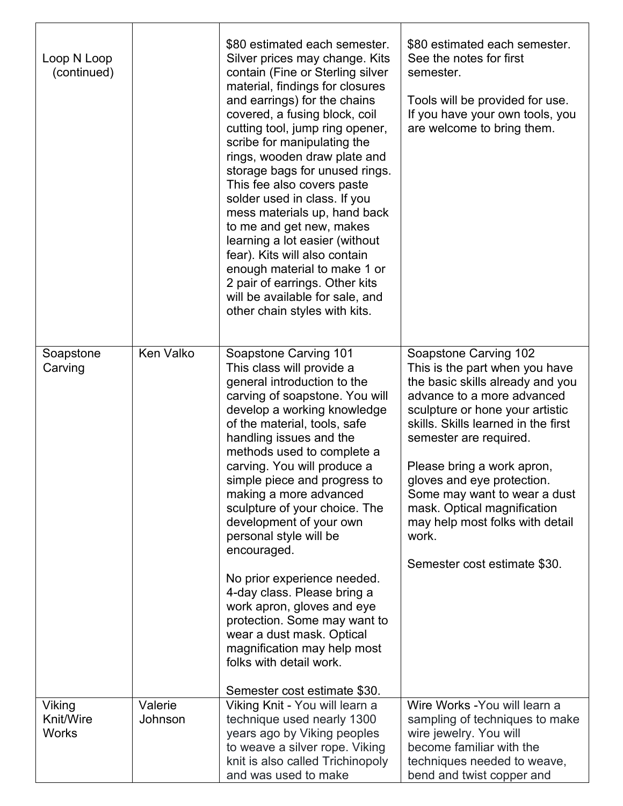| Loop N Loop<br>(continued)                        |                    | \$80 estimated each semester.<br>Silver prices may change. Kits<br>contain (Fine or Sterling silver<br>material, findings for closures<br>and earrings) for the chains<br>covered, a fusing block, coil<br>cutting tool, jump ring opener,<br>scribe for manipulating the<br>rings, wooden draw plate and<br>storage bags for unused rings.<br>This fee also covers paste<br>solder used in class. If you<br>mess materials up, hand back<br>to me and get new, makes<br>learning a lot easier (without<br>fear). Kits will also contain<br>enough material to make 1 or<br>2 pair of earrings. Other kits<br>will be available for sale, and<br>other chain styles with kits. | \$80 estimated each semester.<br>See the notes for first<br>semester.<br>Tools will be provided for use.<br>If you have your own tools, you<br>are welcome to bring them.                                                                                                                                                                                                                                                            |
|---------------------------------------------------|--------------------|--------------------------------------------------------------------------------------------------------------------------------------------------------------------------------------------------------------------------------------------------------------------------------------------------------------------------------------------------------------------------------------------------------------------------------------------------------------------------------------------------------------------------------------------------------------------------------------------------------------------------------------------------------------------------------|--------------------------------------------------------------------------------------------------------------------------------------------------------------------------------------------------------------------------------------------------------------------------------------------------------------------------------------------------------------------------------------------------------------------------------------|
| Soapstone<br>Carving                              | <b>Ken Valko</b>   | Soapstone Carving 101<br>This class will provide a<br>general introduction to the<br>carving of soapstone. You will<br>develop a working knowledge<br>of the material, tools, safe<br>handling issues and the<br>methods used to complete a<br>carving. You will produce a<br>simple piece and progress to<br>making a more advanced<br>sculpture of your choice. The<br>development of your own<br>personal style will be<br>encouraged.<br>No prior experience needed.<br>4-day class. Please bring a<br>work apron, gloves and eye<br>protection. Some may want to<br>wear a dust mask. Optical<br>magnification may help most<br>folks with detail work.                   | Soapstone Carving 102<br>This is the part when you have<br>the basic skills already and you<br>advance to a more advanced<br>sculpture or hone your artistic<br>skills. Skills learned in the first<br>semester are required.<br>Please bring a work apron,<br>gloves and eye protection.<br>Some may want to wear a dust<br>mask. Optical magnification<br>may help most folks with detail<br>work.<br>Semester cost estimate \$30. |
| <b>Viking</b><br><b>Knit/Wire</b><br><b>Works</b> | Valerie<br>Johnson | Semester cost estimate \$30.<br>Viking Knit - You will learn a<br>technique used nearly 1300<br>years ago by Viking peoples<br>to weave a silver rope. Viking<br>knit is also called Trichinopoly<br>and was used to make                                                                                                                                                                                                                                                                                                                                                                                                                                                      | Wire Works - You will learn a<br>sampling of techniques to make<br>wire jewelry. You will<br>become familiar with the<br>techniques needed to weave,<br>bend and twist copper and                                                                                                                                                                                                                                                    |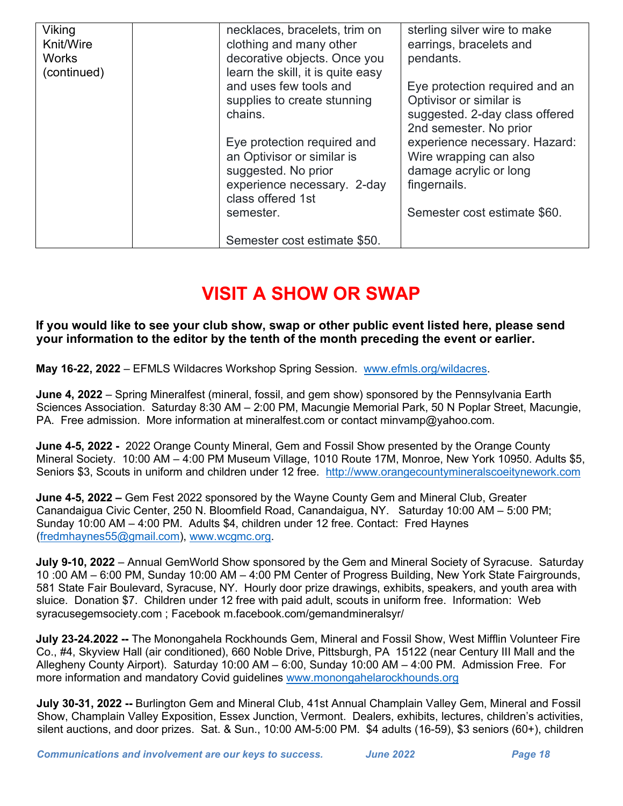| <b>Viking</b><br>Knit/Wire<br><b>Works</b><br>(continued) | necklaces, bracelets, trim on<br>clothing and many other<br>decorative objects. Once you<br>learn the skill, it is quite easy<br>and uses few tools and<br>supplies to create stunning<br>chains.<br>Eye protection required and | sterling silver wire to make<br>earrings, bracelets and<br>pendants.<br>Eye protection required and an<br>Optivisor or similar is<br>suggested. 2-day class offered<br>2nd semester. No prior<br>experience necessary. Hazard: |  |
|-----------------------------------------------------------|----------------------------------------------------------------------------------------------------------------------------------------------------------------------------------------------------------------------------------|--------------------------------------------------------------------------------------------------------------------------------------------------------------------------------------------------------------------------------|--|
|                                                           | an Optivisor or similar is<br>suggested. No prior<br>experience necessary. 2-day<br>class offered 1st<br>semester.                                                                                                               | Wire wrapping can also<br>damage acrylic or long<br>fingernails.<br>Semester cost estimate \$60.                                                                                                                               |  |
|                                                           | Semester cost estimate \$50.                                                                                                                                                                                                     |                                                                                                                                                                                                                                |  |

# **VISIT A SHOW OR SWAP**

**If you would like to see your club show, swap or other public event listed here, please send your information to the editor by the tenth of the month preceding the event or earlier.** 

**May 16-22, 2022** – EFMLS Wildacres Workshop Spring Session. [www.efmls.org/wildacres.](http://www.efmls.org/wildacres)

**June 4, 2022** – Spring Mineralfest (mineral, fossil, and gem show) sponsored by the Pennsylvania Earth Sciences Association. Saturday 8:30 AM – 2:00 PM, Macungie Memorial Park, 50 N Poplar Street, Macungie, PA. Free admission. More information at mineralfest.com or contact minvamp@yahoo.com.

**June 4-5, 2022 -** 2022 Orange County Mineral, Gem and Fossil Show presented by the Orange County Mineral Society. 10:00 AM – 4:00 PM Museum Village, 1010 Route 17M, Monroe, New York 10950. Adults \$5, Seniors \$3, Scouts in uniform and children under 12 free. [http://www.orangecountymineralscoeitynework.com](http://www.orangecountymineralscoeitynework.com/) 

**June 4-5, 2022 –** Gem Fest 2022 sponsored by the Wayne County Gem and Mineral Club, Greater Canandaigua Civic Center, 250 N. Bloomfield Road, Canandaigua, NY. Saturday 10:00 AM – 5:00 PM; Sunday 10:00 AM – 4:00 PM. Adults \$4, children under 12 free. Contact: Fred Haynes [\(fredmhaynes55@gmail.com\)](mailto:fredmhaynes55@gmail.com), [www.wcgmc.org.](http://www.wcgmc.org/)

**July 9-10, 2022** – Annual GemWorld Show sponsored by the Gem and Mineral Society of Syracuse. Saturday 10 :00 AM – 6:00 PM, Sunday 10:00 AM – 4:00 PM Center of Progress Building, New York State Fairgrounds, 581 State Fair Boulevard, Syracuse, NY. Hourly door prize drawings, exhibits, speakers, and youth area with sluice. Donation \$7. Children under 12 free with paid adult, scouts in uniform free. Information: Web syracusegemsociety.com ; Facebook m.facebook.com/gemandmineralsyr/

**July 23-24.2022 --** The Monongahela Rockhounds Gem, Mineral and Fossil Show, West Mifflin Volunteer Fire Co., #4, Skyview Hall (air conditioned), 660 Noble Drive, Pittsburgh, PA 15122 (near Century III Mall and the Allegheny County Airport). Saturday 10:00 AM – 6:00, Sunday 10:00 AM – 4:00 PM. Admission Free. For more information and mandatory Covid guidelines [www.monongahelarockhounds.org](http://www.monongahelarockhounds.org/) 

**July 30-31, 2022 --** Burlington Gem and Mineral Club, 41st Annual Champlain Valley Gem, Mineral and Fossil Show, Champlain Valley Exposition, Essex Junction, Vermont. Dealers, exhibits, lectures, children's activities, silent auctions, and door prizes. Sat. & Sun., 10:00 AM-5:00 PM. \$4 adults (16-59), \$3 seniors (60+), children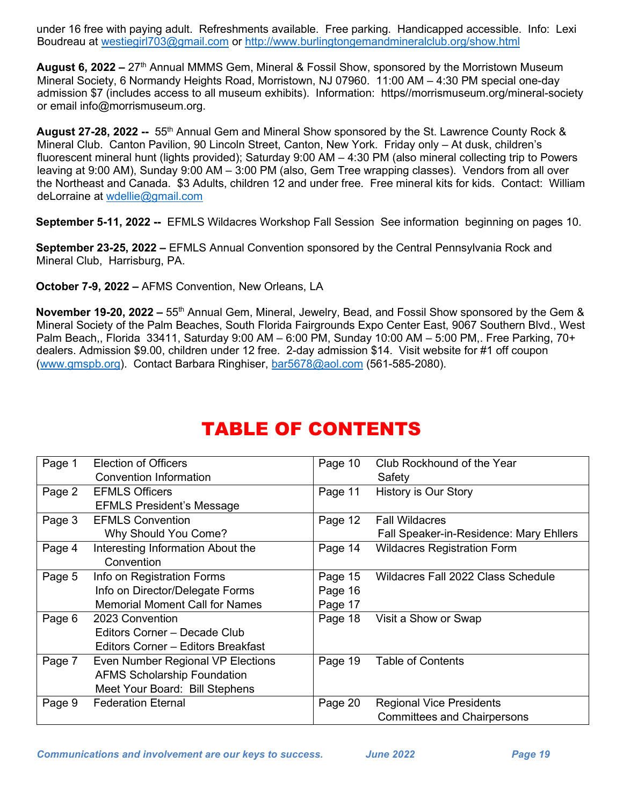under 16 free with paying adult. Refreshments available. Free parking. Handicapped accessible. Info: Lexi Boudreau at [westiegirl703@gmail.com](mailto:westiegirl703@gmail.com) or <http://www.burlingtongemandmineralclub.org/show.html>

**August 6, 2022 –** 27th Annual MMMS Gem, Mineral & Fossil Show, sponsored by the Morristown Museum Mineral Society, 6 Normandy Heights Road, Morristown, NJ 07960. 11:00 AM – 4:30 PM special one-day admission \$7 (includes access to all museum exhibits). Information: https//morrismuseum.org/mineral-society or email info@morrismuseum.org.

**August 27-28, 2022 --** 55th Annual Gem and Mineral Show sponsored by the St. Lawrence County Rock & Mineral Club. Canton Pavilion, 90 Lincoln Street, Canton, New York. Friday only – At dusk, children's fluorescent mineral hunt (lights provided); Saturday 9:00 AM – 4:30 PM (also mineral collecting trip to Powers leaving at 9:00 AM), Sunday 9:00 AM – 3:00 PM (also, Gem Tree wrapping classes). Vendors from all over the Northeast and Canada. \$3 Adults, children 12 and under free. Free mineral kits for kids. Contact: William deLorraine at [wdellie@gmail.com](mailto:wdellie@gmail.com) 

**September 5-11, 2022 --** EFMLS Wildacres Workshop Fall Session See information beginning on pages 10.

**September 23-25, 2022 –** EFMLS Annual Convention sponsored by the Central Pennsylvania Rock and Mineral Club, Harrisburg, PA.

**October 7-9, 2022 –** AFMS Convention, New Orleans, LA

**November 19-20, 2022 –** 55<sup>th</sup> Annual Gem, Mineral, Jewelry, Bead, and Fossil Show sponsored by the Gem & Mineral Society of the Palm Beaches, South Florida Fairgrounds Expo Center East, 9067 Southern Blvd., West Palm Beach,, Florida 33411, Saturday 9:00 AM – 6:00 PM, Sunday 10:00 AM – 5:00 PM,. Free Parking, 70+ dealers. Admission \$9.00, children under 12 free. 2-day admission \$14. Visit website for #1 off coupon [\(www.gmspb.org\)](http://www.gmspb.org/). Contact Barbara Ringhiser, [bar5678@aol.com](mailto:bar5678@aol.com) (561-585-2080).

| Page 1 | <b>Election of Officers</b>           | Page 10 | Club Rockhound of the Year                     |
|--------|---------------------------------------|---------|------------------------------------------------|
|        | Convention Information                |         | Safety                                         |
| Page 2 | <b>EFMLS Officers</b>                 | Page 11 | History is Our Story                           |
|        | <b>EFMLS President's Message</b>      |         |                                                |
| Page 3 | <b>EFMLS Convention</b>               | Page 12 | <b>Fall Wildacres</b>                          |
|        | Why Should You Come?                  |         | <b>Fall Speaker-in-Residence: Mary Ehllers</b> |
| Page 4 | Interesting Information About the     | Page 14 | <b>Wildacres Registration Form</b>             |
|        | Convention                            |         |                                                |
| Page 5 | Info on Registration Forms            | Page 15 | Wildacres Fall 2022 Class Schedule             |
|        | Info on Director/Delegate Forms       | Page 16 |                                                |
|        | <b>Memorial Moment Call for Names</b> | Page 17 |                                                |
| Page 6 | 2023 Convention                       | Page 18 | Visit a Show or Swap                           |
|        | Editors Corner - Decade Club          |         |                                                |
|        | Editors Corner - Editors Breakfast    |         |                                                |
| Page 7 | Even Number Regional VP Elections     | Page 19 | <b>Table of Contents</b>                       |
|        | <b>AFMS Scholarship Foundation</b>    |         |                                                |
|        | Meet Your Board: Bill Stephens        |         |                                                |
| Page 9 | <b>Federation Eternal</b>             | Page 20 | <b>Regional Vice Presidents</b>                |
|        |                                       |         | <b>Committees and Chairpersons</b>             |

# TABLE OF CONTENTS